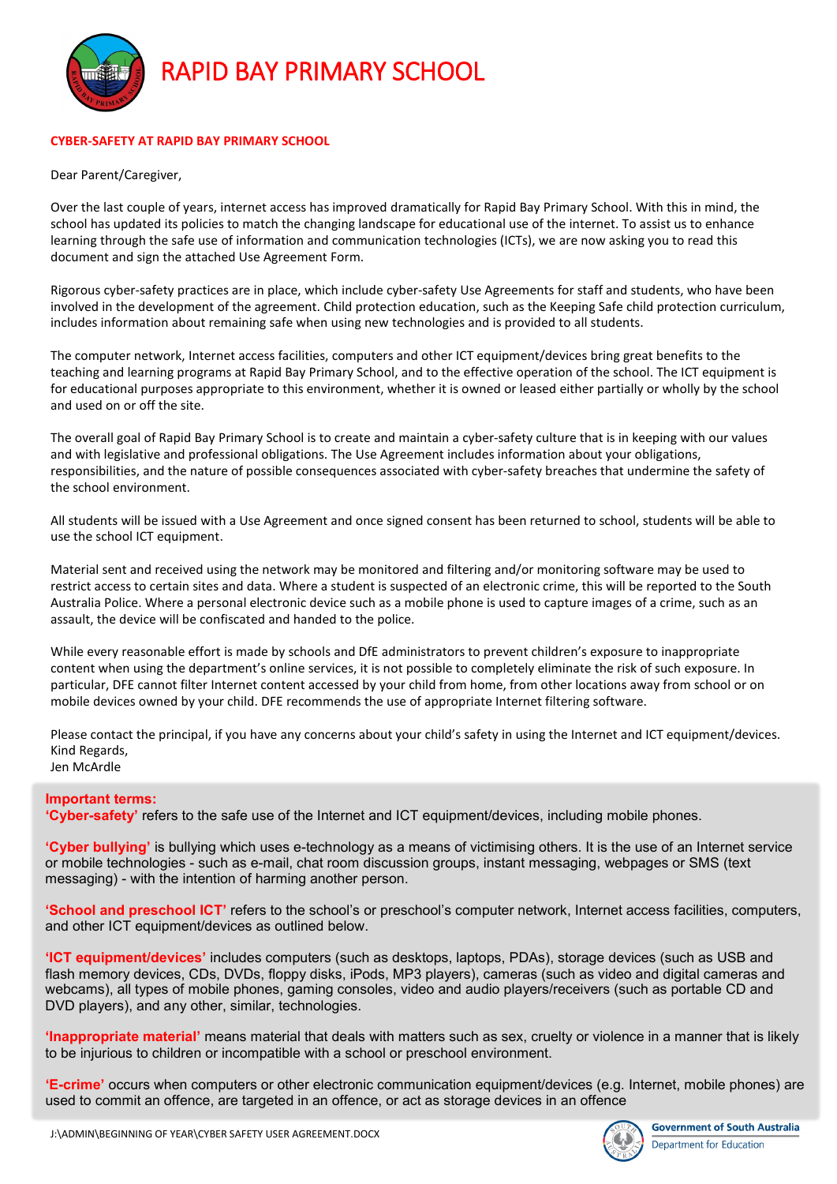

#### **CYBER-SAFETY AT RAPID BAY PRIMARY SCHOOL**

Dear Parent/Caregiver,

Over the last couple of years, internet access has improved dramatically for Rapid Bay Primary School. With this in mind, the school has updated its policies to match the changing landscape for educational use of the internet. To assist us to enhance learning through the safe use of information and communication technologies (ICTs), we are now asking you to read this document and sign the attached Use Agreement Form.

Rigorous cyber-safety practices are in place, which include cyber-safety Use Agreements for staff and students, who have been involved in the development of the agreement. Child protection education, such as the Keeping Safe child protection curriculum, includes information about remaining safe when using new technologies and is provided to all students.

The computer network, Internet access facilities, computers and other ICT equipment/devices bring great benefits to the teaching and learning programs at Rapid Bay Primary School, and to the effective operation of the school. The ICT equipment is for educational purposes appropriate to this environment, whether it is owned or leased either partially or wholly by the school and used on or off the site.

The overall goal of Rapid Bay Primary School is to create and maintain a cyber-safety culture that is in keeping with our values and with legislative and professional obligations. The Use Agreement includes information about your obligations, responsibilities, and the nature of possible consequences associated with cyber-safety breaches that undermine the safety of the school environment.

All students will be issued with a Use Agreement and once signed consent has been returned to school, students will be able to use the school ICT equipment.

Material sent and received using the network may be monitored and filtering and/or monitoring software may be used to restrict access to certain sites and data. Where a student is suspected of an electronic crime, this will be reported to the South Australia Police. Where a personal electronic device such as a mobile phone is used to capture images of a crime, such as an assault, the device will be confiscated and handed to the police.

While every reasonable effort is made by schools and DfE administrators to prevent children's exposure to inappropriate content when using the department's online services, it is not possible to completely eliminate the risk of such exposure. In particular, DFE cannot filter Internet content accessed by your child from home, from other locations away from school or on mobile devices owned by your child. DFE recommends the use of appropriate Internet filtering software.

Please contact the principal, if you have any concerns about your child's safety in using the Internet and ICT equipment/devices. Kind Regards, Jen McArdle

#### **Important terms:**

**'Cyber-safety'** refers to the safe use of the Internet and ICT equipment/devices, including mobile phones.

**'Cyber bullying'** is bullying which uses e-technology as a means of victimising others. It is the use of an Internet service or mobile technologies - such as e-mail, chat room discussion groups, instant messaging, webpages or SMS (text messaging) - with the intention of harming another person.

**'School and preschool ICT'** refers to the school's or preschool's computer network, Internet access facilities, computers, and other ICT equipment/devices as outlined below.

**'ICT equipment/devices'** includes computers (such as desktops, laptops, PDAs), storage devices (such as USB and flash memory devices, CDs, DVDs, floppy disks, iPods, MP3 players), cameras (such as video and digital cameras and webcams), all types of mobile phones, gaming consoles, video and audio players/receivers (such as portable CD and DVD players), and any other, similar, technologies.

**'Inappropriate material'** means material that deals with matters such as sex, cruelty or violence in a manner that is likely to be injurious to children or incompatible with a school or preschool environment.

**'E-crime'** occurs when computers or other electronic communication equipment/devices (e.g. Internet, mobile phones) are used to commit an offence, are targeted in an offence, or act as storage devices in an offence

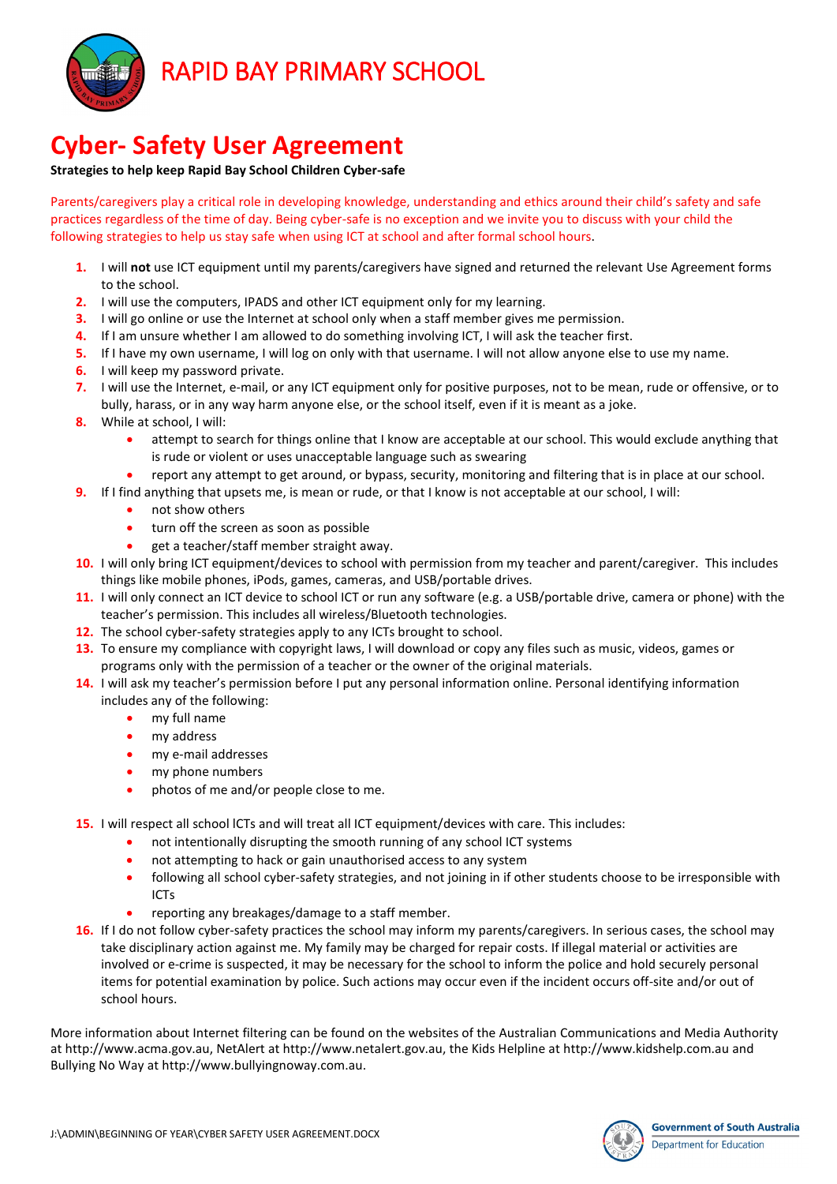

# **Cyber- Safety User Agreement**

#### **Strategies to help keep Rapid Bay School Children Cyber-safe**

Parents/caregivers play a critical role in developing knowledge, understanding and ethics around their child's safety and safe practices regardless of the time of day. Being cyber-safe is no exception and we invite you to discuss with your child the following strategies to help us stay safe when using ICT at school and after formal school hours.

- **1.** I will **not** use ICT equipment until my parents/caregivers have signed and returned the relevant Use Agreement forms to the school.
- **2.** I will use the computers, IPADS and other ICT equipment only for my learning.
- **3.** I will go online or use the Internet at school only when a staff member gives me permission.
- **4.** If I am unsure whether I am allowed to do something involving ICT, I will ask the teacher first.
- **5.** If I have my own username, I will log on only with that username. I will not allow anyone else to use my name.
- **6.** I will keep my password private.
- **7.** I will use the Internet, e-mail, or any ICT equipment only for positive purposes, not to be mean, rude or offensive, or to bully, harass, or in any way harm anyone else, or the school itself, even if it is meant as a joke.
- **8.** While at school, I will:
	- attempt to search for things online that I know are acceptable at our school. This would exclude anything that is rude or violent or uses unacceptable language such as swearing
	- report any attempt to get around, or bypass, security, monitoring and filtering that is in place at our school.
- **9.** If I find anything that upsets me, is mean or rude, or that I know is not acceptable at our school, I will:
	- not show others
	- turn off the screen as soon as possible
	- get a teacher/staff member straight away.
- **10.** I will only bring ICT equipment/devices to school with permission from my teacher and parent/caregiver. This includes things like mobile phones, iPods, games, cameras, and USB/portable drives.
- **11.** I will only connect an ICT device to school ICT or run any software (e.g. a USB/portable drive, camera or phone) with the teacher's permission. This includes all wireless/Bluetooth technologies.
- **12.** The school cyber-safety strategies apply to any ICTs brought to school.
- **13.** To ensure my compliance with copyright laws, I will download or copy any files such as music, videos, games or programs only with the permission of a teacher or the owner of the original materials.
- **14.** I will ask my teacher's permission before I put any personal information online. Personal identifying information includes any of the following:
	- my full name
	- my address
	- my e-mail addresses
	- my phone numbers
	- photos of me and/or people close to me.
- **15.** I will respect all school lCTs and will treat all ICT equipment/devices with care. This includes:
	- not intentionally disrupting the smooth running of any school ICT systems
	- not attempting to hack or gain unauthorised access to any system
	- following all school cyber-safety strategies, and not joining in if other students choose to be irresponsible with ICTs
	- reporting any breakages/damage to a staff member.
- **16.** If I do not follow cyber-safety practices the school may inform my parents/caregivers. In serious cases, the school may take disciplinary action against me. My family may be charged for repair costs. If illegal material or activities are involved or e-crime is suspected, it may be necessary for the school to inform the police and hold securely personal items for potential examination by police. Such actions may occur even if the incident occurs off-site and/or out of school hours.

More information about Internet filtering can be found on the websites of the Australian Communications and Media Authority at http://www.acma.gov.au, NetAlert at http://www.netalert.gov.au, the Kids Helpline at http://www.kidshelp.com.au and Bullying No Way at http://www.bullyingnoway.com.au.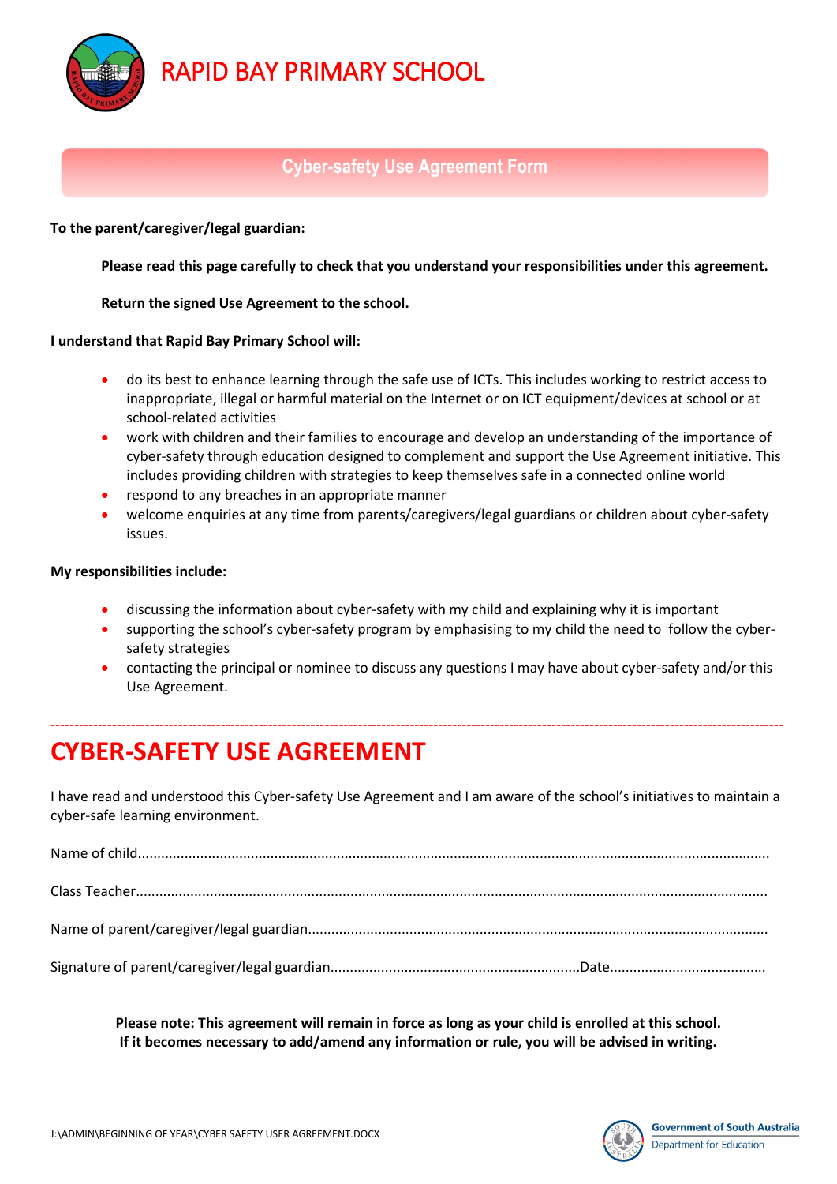RAPID BAY PRIMARY SCHOOL

# **Cyber-safety Use Agreement Form**

**To the parent/caregiver/legal guardian:** 

血

**Please read this page carefully to check that you understand your responsibilities under this agreement.** 

### **Return the signed Use Agreement to the school.**

### **I understand that Rapid Bay Primary School will:**

- do its best to enhance learning through the safe use of ICTs. This includes working to restrict access to inappropriate, illegal or harmful material on the Internet or on ICT equipment/devices at school or at school-related activities
- work with children and their families to encourage and develop an understanding of the importance of cyber-safety through education designed to complement and support the Use Agreement initiative. This includes providing children with strategies to keep themselves safe in a connected online world
- respond to any breaches in an appropriate manner
- welcome enquiries at any time from parents/caregivers/legal guardians or children about cyber-safety issues.

### **My responsibilities include:**

- discussing the information about cyber-safety with my child and explaining why it is important
- supporting the school's cyber-safety program by emphasising to my child the need to follow the cybersafety strategies
- contacting the principal or nominee to discuss any questions I may have about cyber-safety and/or this Use Agreement.

# **CYBER-SAFETY USE AGREEMENT**

I have read and understood this Cyber-safety Use Agreement and I am aware of the school's initiatives to maintain a cyber-safe learning environment.

-----------------------------------------------------------------------------------------------------------------------------------------------------------

**Please note: This agreement will remain in force as long as your child is enrolled at this school. If it becomes necessary to add/amend any information or rule, you will be advised in writing.**